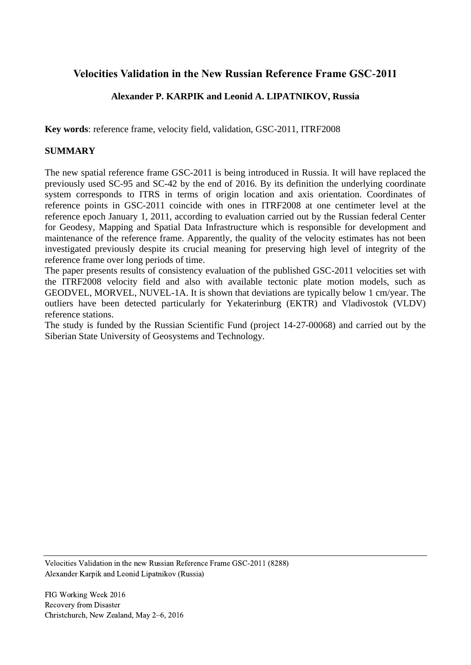# **Velocities Validation in the New Russian Reference Frame GSC-2011**

## **Alexander P. KARPIK and Leonid A. LIPATNIKOV, Russia**

**Key words**: reference frame, velocity field, validation, GSC-2011, ITRF2008

#### **SUMMARY**

The new spatial reference frame GSC-2011 is being introduced in Russia. It will have replaced the previously used SC-95 and SC-42 by the end of 2016. By its definition the underlying coordinate system corresponds to ITRS in terms of origin location and axis orientation. Coordinates of reference points in GSC-2011 coincide with ones in ITRF2008 at one centimeter level at the reference epoch January 1, 2011, according to evaluation carried out by the Russian federal Center for Geodesy, Mapping and Spatial Data Infrastructure which is responsible for development and maintenance of the reference frame. Apparently, the quality of the velocity estimates has not been investigated previously despite its crucial meaning for preserving high level of integrity of the reference frame over long periods of time.

The paper presents results of consistency evaluation of the published GSC-2011 velocities set with the ITRF2008 velocity field and also with available tectonic plate motion models, such as GEODVEL, MORVEL, NUVEL-1A. It is shown that deviations are typically below 1 cm/year. The outliers have been detected particularly for Yekaterinburg (EKTR) and Vladivostok (VLDV) reference stations.

The study is funded by the Russian Scientific Fund (project 14-27-00068) and carried out by the Siberian State University of Geosystems and Technology.

Velocities Validation in the new Russian Reference Frame GSC-2011 (8288) Alexander Karpik and Leonid Lipatnikov (Russia)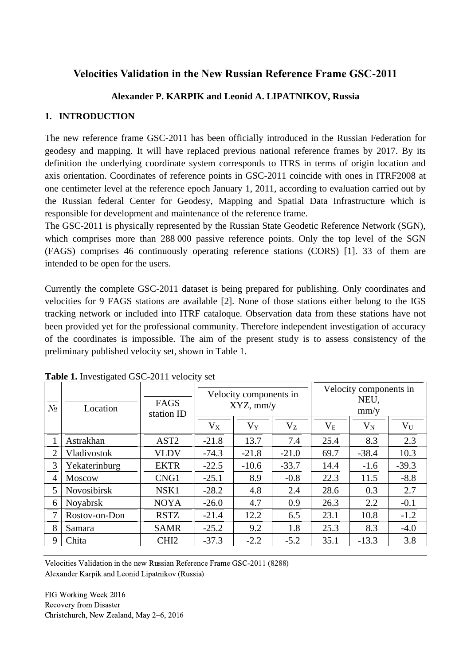# **Velocities Validation in the New Russian Reference Frame GSC-2011**

## **Alexander P. KARPIK and Leonid A. LIPATNIKOV, Russia**

#### **1. INTRODUCTION**

The new reference frame GSC-2011 has been officially introduced in the Russian Federation for geodesy and mapping. It will have replaced previous national reference frames by 2017. By its definition the underlying coordinate system corresponds to ITRS in terms of origin location and axis orientation. Coordinates of reference points in GSC-2011 coincide with ones in ITRF2008 at one centimeter level at the reference epoch January 1, 2011, according to evaluation carried out by the Russian federal Center for Geodesy, Mapping and Spatial Data Infrastructure which is responsible for development and maintenance of the reference frame.

The GSC-2011 is physically represented by the Russian State Geodetic Reference Network (SGN), which comprises more than 288 000 passive reference points. Only the top level of the SGN (FAGS) comprises 46 continuously operating reference stations (CORS) [1]. 33 of them are intended to be open for the users.

Currently the complete GSC-2011 dataset is being prepared for publishing. Only coordinates and velocities for 9 FAGS stations are available [2]. None of those stations either belong to the IGS tracking network or included into ITRF cataloque. Observation data from these stations have not been provided yet for the professional community. Therefore independent investigation of accuracy of the coordinates is impossible. The aim of the present study is to assess consistency of the preliminary published velocity set, shown in Table 1.

| $N_2$          | Location           | <b>FAGS</b><br>station ID | Velocity components in<br>$XYZ$ , mm/y |         |         | Velocity components in<br>NEU,<br>mm/y |         |         |
|----------------|--------------------|---------------------------|----------------------------------------|---------|---------|----------------------------------------|---------|---------|
|                |                    |                           | $V_X$                                  | $V_Y$   | $V_{Z}$ | $\rm V_{E}$                            | $V_{N}$ | $V_U$   |
|                | Astrakhan          | AST <sub>2</sub>          | $-21.8$                                | 13.7    | 7.4     | 25.4                                   | 8.3     | 2.3     |
| 2              | Vladivostok        | <b>VLDV</b>               | $-74.3$                                | $-21.8$ | $-21.0$ | 69.7                                   | $-38.4$ | 10.3    |
| 3              | Yekaterinburg      | <b>EKTR</b>               | $-22.5$                                | $-10.6$ | $-33.7$ | 14.4                                   | $-1.6$  | $-39.3$ |
| $\overline{4}$ | <b>Moscow</b>      | CNG1                      | $-25.1$                                | 8.9     | $-0.8$  | 22.3                                   | 11.5    | $-8.8$  |
| 5              | <b>Novosibirsk</b> | NSK1                      | $-28.2$                                | 4.8     | 2.4     | 28.6                                   | 0.3     | 2.7     |
| 6              | Noyabrsk           | <b>NOYA</b>               | $-26.0$                                | 4.7     | 0.9     | 26.3                                   | 2.2     | $-0.1$  |
|                | Rostov-on-Don      | <b>RSTZ</b>               | $-21.4$                                | 12.2    | 6.5     | 23.1                                   | 10.8    | $-1.2$  |
| 8              | Samara             | <b>SAMR</b>               | $-25.2$                                | 9.2     | 1.8     | 25.3                                   | 8.3     | $-4.0$  |
| 9              | Chita              | CHI <sub>2</sub>          | $-37.3$                                | $-2.2$  | $-5.2$  | 35.1                                   | $-13.3$ | 3.8     |

**Table 1.** Investigated GSC-2011 velocity set

Velocities Validation in the new Russian Reference Frame GSC-2011 (8288) Alexander Karpik and Leonid Lipatnikov (Russia)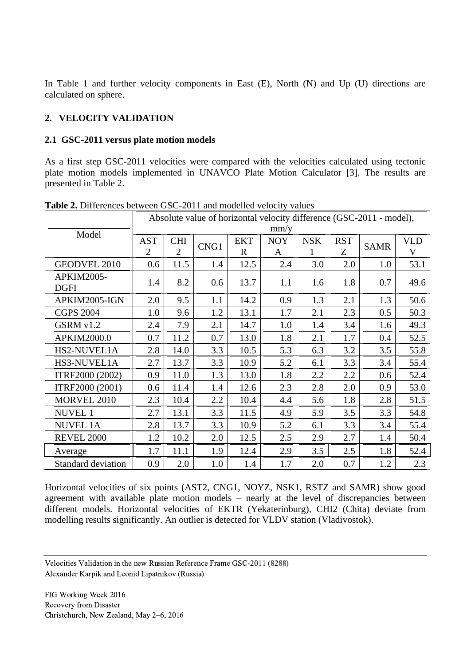In Table 1 and further velocity components in East (E), North (N) and Up (U) directions are calculated on sphere.

## **2. VELOCITY VALIDATION**

#### **2.1 GSC-2011 versus plate motion models**

As a first step GSC-2011 velocities were compared with the velocities calculated using tectonic plate motion models implemented in UNAVCO Plate Motion Calculator [3]. The results are presented in Table 2.

|                                  | Absolute value of horizontal velocity difference (GSC-2011 - model),<br>mm/y |                              |      |                           |                 |                 |                 |             |                 |
|----------------------------------|------------------------------------------------------------------------------|------------------------------|------|---------------------------|-----------------|-----------------|-----------------|-------------|-----------------|
| Model                            | <b>AST</b><br>$\overline{2}$                                                 | <b>CHI</b><br>$\overline{2}$ | CNG1 | <b>EKT</b><br>$\mathbf R$ | <b>NOY</b><br>A | <b>NSK</b><br>1 | <b>RST</b><br>Z | <b>SAMR</b> | <b>VLD</b><br>V |
| <b>GEODVEL 2010</b>              | 0.6                                                                          | 11.5                         | 1.4  | 12.5                      | 2.4             | 3.0             | 2.0             | 1.0         | 53.1            |
| <b>APKIM2005-</b><br><b>DGFI</b> | 1.4                                                                          | 8.2                          | 0.6  | 13.7                      | 1.1             | 1.6             | 1.8             | 0.7         | 49.6            |
| APKIM2005-IGN                    | 2.0                                                                          | 9.5                          | 1.1  | 14.2                      | 0.9             | 1.3             | 2.1             | 1.3         | 50.6            |
| <b>CGPS 2004</b>                 | 1.0                                                                          | 9.6                          | 1.2  | 13.1                      | 1.7             | 2.1             | 2.3             | 0.5         | 50.3            |
| GSRM v1.2                        | 2.4                                                                          | 7.9                          | 2.1  | 14.7                      | 1.0             | 1.4             | 3.4             | 1.6         | 49.3            |
| APKIM2000.0                      | 0.7                                                                          | 11.2                         | 0.7  | 13.0                      | 1.8             | 2.1             | 1.7             | 0.4         | 52.5            |
| HS2-NUVEL1A                      | 2.8                                                                          | 14.0                         | 3.3  | 10.5                      | 5.3             | 6.3             | 3.2             | 3.5         | 55.8            |
| HS3-NUVEL1A                      | 2.7                                                                          | 13.7                         | 3.3  | 10.9                      | 5.2             | 6.1             | 3.3             | 3.4         | 55.4            |
| ITRF2000 (2002)                  | 0.9                                                                          | 11.0                         | 1.3  | 13.0                      | 1.8             | 2.2             | 2.2             | 0.6         | 52.4            |
| ITRF2000 (2001)                  | 0.6                                                                          | 11.4                         | 1.4  | 12.6                      | 2.3             | 2.8             | 2.0             | 0.9         | 53.0            |
| MORVEL 2010                      | 2.3                                                                          | 10.4                         | 2.2  | 10.4                      | 4.4             | 5.6             | 1.8             | 2.8         | 51.5            |
| <b>NUVEL 1</b>                   | 2.7                                                                          | 13.1                         | 3.3  | 11.5                      | 4.9             | 5.9             | 3.5             | 3.3         | 54.8            |
| <b>NUVEL 1A</b>                  | 2.8                                                                          | 13.7                         | 3.3  | 10.9                      | 5.2             | 6.1             | 3.3             | 3.4         | 55.4            |
| <b>REVEL 2000</b>                | 1.2                                                                          | 10.2                         | 2.0  | 12.5                      | 2.5             | 2.9             | 2.7             | 1.4         | 50.4            |
| Average                          | 1.7                                                                          | 11.1                         | 1.9  | 12.4                      | 2.9             | 3.5             | 2.5             | 1.8         | 52.4            |
| <b>Standard deviation</b>        | 0.9                                                                          | 2.0                          | 1.0  | 1.4                       | 1.7             | 2.0             | 0.7             | 1.2         | 2.3             |

**Table 2.** Differences between GSC-2011 and modelled velocity values

Horizontal velocities of six points (AST2, CNG1, NOYZ, NSK1, RSTZ and SAMR) show good agreement with available plate motion models – nearly at the level of discrepancies between different models. Horizontal velocities of EKTR (Yekaterinburg), CHI2 (Chita) deviate from modelling results significantly. An outlier is detected for VLDV station (Vladivostok).

Velocities Validation in the new Russian Reference Frame GSC-2011 (8288) Alexander Karpik and Leonid Lipatnikov (Russia)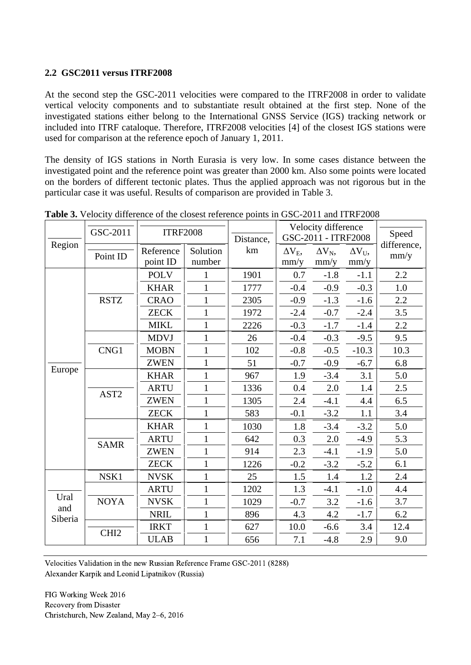#### **2.2 GSC2011 versus ITRF2008**

At the second step the GSC-2011 velocities were compared to the ITRF2008 in order to validate vertical velocity components and to substantiate result obtained at the first step. None of the investigated stations either belong to the International GNSS Service (IGS) tracking network or included into ITRF cataloque. Therefore, ITRF2008 velocities [4] of the closest IGS stations were used for comparison at the reference epoch of January 1, 2011.

The density of IGS stations in North Eurasia is very low. In some cases distance between the investigated point and the reference point was greater than 2000 km. Also some points were located on the borders of different tectonic plates. Thus the applied approach was not rigorous but in the particular case it was useful. Results of comparison are provided in Table 3.

|                | GSC-2011         | <b>ITRF2008</b> |              |      | Velocity difference |                     |                    | Speed       |
|----------------|------------------|-----------------|--------------|------|---------------------|---------------------|--------------------|-------------|
| Region         |                  |                 |              |      |                     | GSC-2011 - ITRF2008 |                    | difference, |
|                | Point ID         | Reference       | Solution     | km   | $\Delta V_{E}$      | $\Delta V_N$ ,      | $\Delta V_{\rm U}$ | mm/y        |
|                |                  | point ID        | number       |      | mm/y                | mm/y                | mm/y               |             |
|                |                  | <b>POLV</b>     | $\mathbf{1}$ | 1901 | 0.7                 | $-1.8$              | $-1.1$             | 2.2         |
|                |                  | <b>KHAR</b>     | $\mathbf{1}$ | 1777 | $-0.4$              | $-0.9$              | $-0.3$             | 1.0         |
|                | <b>RSTZ</b>      | <b>CRAO</b>     | $\mathbf{1}$ | 2305 | $-0.9$              | $-1.3$              | $-1.6$             | 2.2         |
|                |                  | <b>ZECK</b>     | $\mathbf{1}$ | 1972 | $-2.4$              | $-0.7$              | $-2.4$             | 3.5         |
|                |                  | <b>MIKL</b>     | $\mathbf{1}$ | 2226 | $-0.3$              | $-1.7$              | $-1.4$             | 2.2         |
|                |                  | <b>MDVJ</b>     | $\mathbf{1}$ | 26   | $-0.4$              | $-0.3$              | $-9.5$             | 9.5         |
|                | CNG1             | <b>MOBN</b>     | $\mathbf{1}$ | 102  | $-0.8$              | $-0.5$              | $-10.3$            | 10.3        |
|                |                  | <b>ZWEN</b>     | $\mathbf{1}$ | 51   | $-0.7$              | $-0.9$              | $-6.7$             | 6.8         |
| Europe         |                  | <b>KHAR</b>     | $\mathbf{1}$ | 967  | 1.9                 | $-3.4$              | 3.1                | 5.0         |
|                | AST <sub>2</sub> | <b>ARTU</b>     | $\mathbf{1}$ | 1336 | 0.4                 | 2.0                 | 1.4                | 2.5         |
|                |                  | <b>ZWEN</b>     | $\mathbf{1}$ | 1305 | $2.4\,$             | $-4.1$              | 4.4                | 6.5         |
|                |                  | <b>ZECK</b>     | $\mathbf{1}$ | 583  | $-0.1$              | $-3.2$              | 1.1                | 3.4         |
|                | <b>SAMR</b>      | <b>KHAR</b>     | $\mathbf{1}$ | 1030 | 1.8                 | $-3.4$              | $-3.2$             | 5.0         |
|                |                  | <b>ARTU</b>     | $\mathbf{1}$ | 642  | 0.3                 | 2.0                 | $-4.9$             | 5.3         |
|                |                  | <b>ZWEN</b>     | 1            | 914  | 2.3                 | $-4.1$              | $-1.9$             | 5.0         |
|                |                  | <b>ZECK</b>     | $\mathbf{1}$ | 1226 | $-0.2$              | $-3.2$              | $-5.2$             | 6.1         |
|                | NSK1             | <b>NVSK</b>     | $\mathbf{1}$ | 25   | 1.5                 | 1.4                 | 1.2                | 2.4         |
|                |                  | <b>ARTU</b>     | $\mathbf{1}$ | 1202 | 1.3                 | $-4.1$              | $-1.0$             | 4.4         |
| Ural           | <b>NOYA</b>      | <b>NVSK</b>     | $\mathbf{1}$ | 1029 | $-0.7$              | 3.2                 | $-1.6$             | 3.7         |
| and<br>Siberia |                  | <b>NRIL</b>     | $\mathbf{1}$ | 896  | 4.3                 | 4.2                 | $-1.7$             | 6.2         |
|                |                  | <b>IRKT</b>     | $\mathbf{1}$ | 627  | 10.0                | $-6.6$              | 3.4                | 12.4        |
|                | CHI <sub>2</sub> | <b>ULAB</b>     | $\mathbf{1}$ | 656  | 7.1                 | $-4.8$              | 2.9                | 9.0         |

**Table 3.** Velocity difference of the closest reference points in GSC-2011 and ITRF2008

Velocities Validation in the new Russian Reference Frame GSC-2011 (8288) Alexander Karpik and Leonid Lipatnikov (Russia)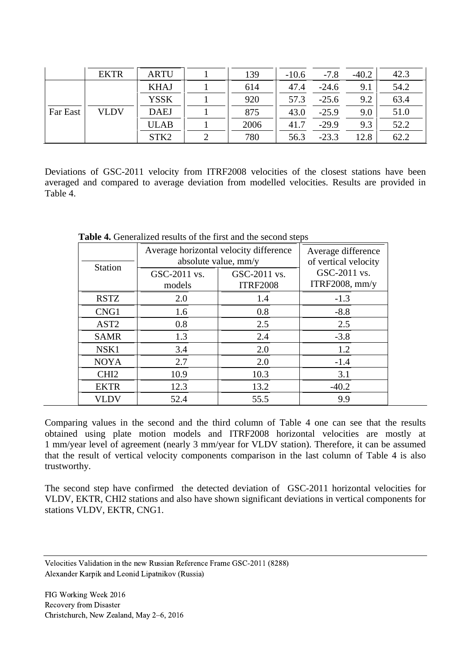|          | <b>EKTR</b> | <b>ARTU</b>      | 139  | $-10.6$ | $-7.8$  | $-40.2$ | 42.3 |
|----------|-------------|------------------|------|---------|---------|---------|------|
| Far East | <b>VLDV</b> | <b>KHAJ</b>      | 614  | 47.4    | $-24.6$ | 9.1     | 54.2 |
|          |             | <b>YSSK</b>      | 920  | 57.3    | $-25.6$ | 9.2     | 63.4 |
|          |             | <b>DAEJ</b>      | 875  | 43.0    | $-25.9$ | 9.0     | 51.0 |
|          |             | <b>ULAB</b>      | 2006 | 41.7    | $-29.9$ | 9.3     | 52.2 |
|          |             | STK <sub>2</sub> | 780  | 56.3    | $-23.3$ | 12.8    | 62.2 |

Deviations of GSC-2011 velocity from ITRF2008 velocities of the closest stations have been averaged and compared to average deviation from modelled velocities. Results are provided in Table 4.

| <b>Station</b>   | Average horizontal velocity difference<br>absolute value, mm/y | Average difference<br>of vertical velocity |                                |
|------------------|----------------------------------------------------------------|--------------------------------------------|--------------------------------|
|                  | GSC-2011 vs.<br>models                                         | GSC-2011 vs.<br><b>ITRF2008</b>            | GSC-2011 vs.<br>ITRF2008, mm/y |
| <b>RSTZ</b>      | 2.0                                                            | 1.4                                        | $-1.3$                         |
| CNG1             | 1.6                                                            | 0.8                                        | $-8.8$                         |
| AST <sub>2</sub> | 0.8                                                            | 2.5                                        | 2.5                            |
| <b>SAMR</b>      | 1.3                                                            | 2.4                                        | $-3.8$                         |
| NSK1             | 3.4                                                            | 2.0                                        | 1.2                            |
| <b>NOYA</b>      | 2.7                                                            | 2.0                                        | $-1.4$                         |
| CHI <sub>2</sub> | 10.9                                                           | 10.3                                       | 3.1                            |
| <b>EKTR</b>      | 12.3                                                           | 13.2                                       | $-40.2$                        |
| VLDV             | 52.4                                                           | 55.5                                       | 9.9                            |

**Table 4.** Generalized results of the first and the second steps

Comparing values in the second and the third column of Table 4 one can see that the results obtained using plate motion models and ITRF2008 horizontal velocities are mostly at 1 mm/year level of agreement (nearly 3 mm/year for VLDV station). Therefore, it can be assumed that the result of vertical velocity components comparison in the last column of Table 4 is also trustworthy.

The second step have confirmed the detected deviation of GSC-2011 horizontal velocities for VLDV, EKTR, CHI2 stations and also have shown significant deviations in vertical components for stations VLDV, EKTR, CNG1.

Velocities Validation in the new Russian Reference Frame GSC-2011 (8288) Alexander Karpik and Leonid Lipatnikov (Russia)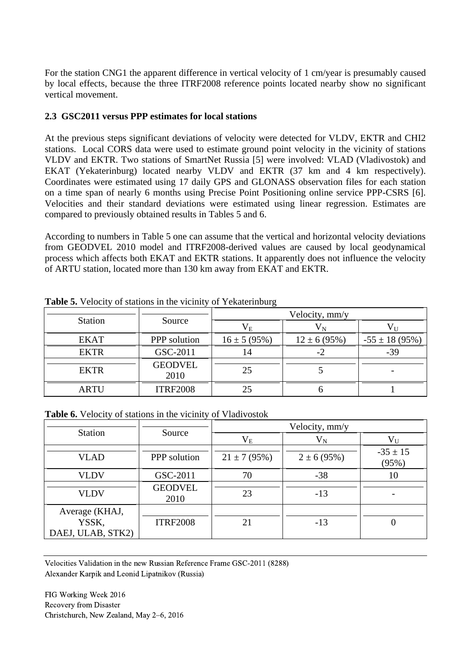For the station CNG1 the apparent difference in vertical velocity of 1 cm/year is presumably caused by local effects, because the three ITRF2008 reference points located nearby show no significant vertical movement.

#### **2.3 GSC2011 versus PPP estimates for local stations**

At the previous steps significant deviations of velocity were detected for VLDV, EKTR and CHI2 stations. Local CORS data were used to estimate ground point velocity in the vicinity of stations VLDV and EKTR. Two stations of SmartNet Russia [5] were involved: VLAD (Vladivostok) and EKAT (Yekaterinburg) located nearby VLDV and EKTR (37 km and 4 km respectively). Coordinates were estimated using 17 daily GPS and GLONASS observation files for each station on a time span of nearly 6 months using Precise Point Positioning online service PPP-CSRS [6]. Velocities and their standard deviations were estimated using linear regression. Estimates are compared to previously obtained results in Tables 5 and 6.

According to numbers in Table 5 one can assume that the vertical and horizontal velocity deviations from GEODVEL 2010 model and ITRF2008-derived values are caused by local geodynamical process which affects both EKAT and EKTR stations. It apparently does not influence the velocity of ARTU station, located more than 130 km away from EKAT and EKTR.

|                |                        | Velocity, mm/y    |                   |                     |  |  |
|----------------|------------------------|-------------------|-------------------|---------------------|--|--|
| <b>Station</b> | Source                 | $\rm V_E$         |                   |                     |  |  |
| <b>EKAT</b>    | PPP solution           | $16 \pm 5 (95\%)$ | $12 \pm 6 (95\%)$ | $-55 \pm 18 (95\%)$ |  |  |
| <b>EKTR</b>    | GSC-2011               | 14                | -7                | $-39$               |  |  |
| <b>EKTR</b>    | <b>GEODVEL</b><br>2010 | 25                |                   |                     |  |  |
| <b>ARTU</b>    | <b>ITRF2008</b>        |                   |                   |                     |  |  |

**Table 5.** Velocity of stations in the vicinity of Yekaterinburg

**Table 6.** Velocity of stations in the vicinity of Vladivostok

|                                              |                        | Velocity, mm/y   |                 |                       |  |  |  |
|----------------------------------------------|------------------------|------------------|-----------------|-----------------------|--|--|--|
| <b>Station</b>                               | Source                 | $\rm V_E$        | $\rm V_N$       | $\rm V_{II}$          |  |  |  |
| <b>VLAD</b>                                  | PPP solution           | $21 \pm 7(95\%)$ | $2 \pm 6(95\%)$ | $-35 \pm 15$<br>(95%) |  |  |  |
| <b>VLDV</b>                                  | GSC-2011               | 70               | $-38$           | 10                    |  |  |  |
| <b>VLDV</b>                                  | <b>GEODVEL</b><br>2010 | 23               | $-13$           |                       |  |  |  |
| Average (KHAJ,<br>YSSK,<br>DAEJ, ULAB, STK2) | <b>ITRF2008</b>        | 21               | $-13$           | O                     |  |  |  |

Velocities Validation in the new Russian Reference Frame GSC-2011 (8288) Alexander Karpik and Leonid Lipatnikov (Russia)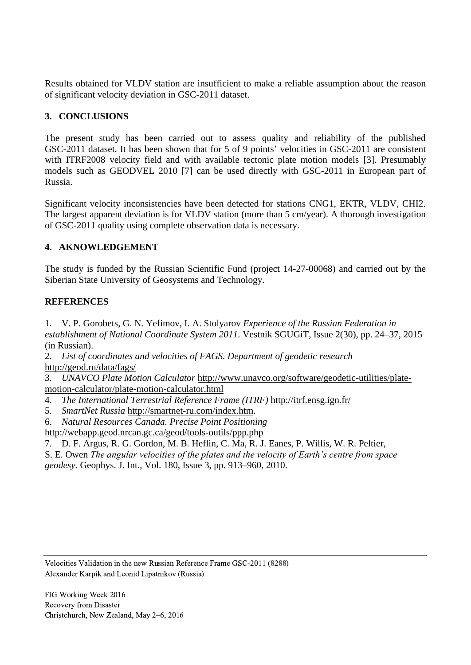Results obtained for VLDV station are insufficient to make a reliable assumption about the reason of significant velocity deviation in GSC-2011 dataset.

### **3. CONCLUSIONS**

The present study has been carried out to assess quality and reliability of the published GSC-2011 dataset. It has been shown that for 5 of 9 points' velocities in GSC-2011 are consistent with ITRF2008 velocity field and with available tectonic plate motion models [3]. Presumably models such as GEODVEL 2010 [7] can be used directly with GSC-2011 in European part of Russia.

Significant velocity inconsistencies have been detected for stations CNG1, EKTR, VLDV, CHI2. The largest apparent deviation is for VLDV station (more than 5 cm/year). A thorough investigation of GSC-2011 quality using complete observation data is necessary.

#### **4. AKNOWLEDGEMENT**

The study is funded by the Russian Scientific Fund (project 14-27-00068) and carried out by the Siberian State University of Geosystems and Technology.

#### **REFERENCES**

1. V. P. Gorobets, G. N. Yefimov, I. A. Stolyarov *Experience of the Russian Federation in establishment of National Coordinate System 2011*. Vestnik SGUGiT, Issue 2(30), pp. 24–37, 2015 (in Russian).

2. *List of coordinates and velocities of FAGS. Department of geodetic research*  <http://geod.ru/data/fags/>

3. *UNAVCO Plate Motion Calculator* [http://www.unavco.org/software/geodetic-utilities/plate](http://www.unavco.org/software/geodetic-utilities/plate-motion-calculator/plate-motion-calculator.html)[motion-calculator/plate-motion-calculator.html](http://www.unavco.org/software/geodetic-utilities/plate-motion-calculator/plate-motion-calculator.html)

- 4. *The International Terrestrial Reference Frame (ITRF)* <http://itrf.ensg.ign.fr/>
- 5. *SmartNet Russia* [http://smartnet-ru.com/index.htm.](http://smartnet-ru.com/index.htm)
- 6. *Natural Resources Canada. Precise Point Positioning*
- <http://webapp.geod.nrcan.gc.ca/geod/tools-outils/ppp.php>
- 7. D. F. Argus, R. G. Gordon, M. B. Heflin, C. Ma, R. J. Eanes, P. Willis, W. R. Peltier,

S. E. Owen *The angular velocities of the plates and the velocity of Earth's centre from space geodesy.* Geophys. J. Int., Vol. 180, Issue 3, pp. 913–960, 2010.

Velocities Validation in the new Russian Reference Frame GSC-2011 (8288) Alexander Karpik and Leonid Lipatnikov (Russia)